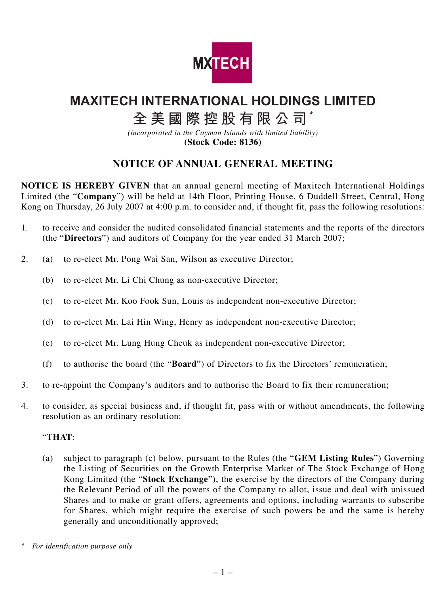

# **MAXITECH INTERNATIONAL HOLDINGS LIMITED**

## **全美國際控股有限公司** \*

*(incorporated in the Cayman Islands with limited liability)* **(Stock Code: 8136)**

### **NOTICE OF ANNUAL GENERAL MEETING**

**NOTICE IS HEREBY GIVEN** that an annual general meeting of Maxitech International Holdings Limited (the "**Company**") will be held at 14th Floor, Printing House, 6 Duddell Street, Central, Hong Kong on Thursday, 26 July 2007 at 4:00 p.m. to consider and, if thought fit, pass the following resolutions:

- 1. to receive and consider the audited consolidated financial statements and the reports of the directors (the "**Directors**") and auditors of Company for the year ended 31 March 2007;
- 2. (a) to re-elect Mr. Pong Wai San, Wilson as executive Director;
	- (b) to re-elect Mr. Li Chi Chung as non-executive Director;
	- (c) to re-elect Mr. Koo Fook Sun, Louis as independent non-executive Director;
	- (d) to re-elect Mr. Lai Hin Wing, Henry as independent non-executive Director;
	- (e) to re-elect Mr. Lung Hung Cheuk as independent non-executive Director;
	- (f) to authorise the board (the "**Board**") of Directors to fix the Directors' remuneration;
- 3. to re-appoint the Company's auditors and to authorise the Board to fix their remuneration;
- 4. to consider, as special business and, if thought fit, pass with or without amendments, the following resolution as an ordinary resolution:

#### "**THAT**:

(a) subject to paragraph (c) below, pursuant to the Rules (the "**GEM Listing Rules**") Governing the Listing of Securities on the Growth Enterprise Market of The Stock Exchange of Hong Kong Limited (the "**Stock Exchange**"), the exercise by the directors of the Company during the Relevant Period of all the powers of the Company to allot, issue and deal with unissued Shares and to make or grant offers, agreements and options, including warrants to subscribe for Shares, which might require the exercise of such powers be and the same is hereby generally and unconditionally approved;

*<sup>\*</sup> For identification purpose only*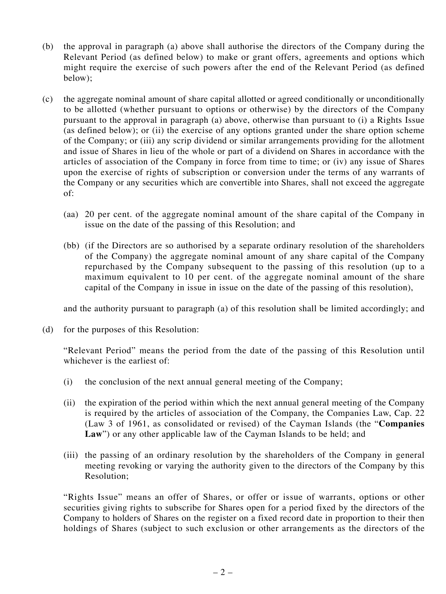- (b) the approval in paragraph (a) above shall authorise the directors of the Company during the Relevant Period (as defined below) to make or grant offers, agreements and options which might require the exercise of such powers after the end of the Relevant Period (as defined below);
- (c) the aggregate nominal amount of share capital allotted or agreed conditionally or unconditionally to be allotted (whether pursuant to options or otherwise) by the directors of the Company pursuant to the approval in paragraph (a) above, otherwise than pursuant to (i) a Rights Issue (as defined below); or (ii) the exercise of any options granted under the share option scheme of the Company; or (iii) any scrip dividend or similar arrangements providing for the allotment and issue of Shares in lieu of the whole or part of a dividend on Shares in accordance with the articles of association of the Company in force from time to time; or (iv) any issue of Shares upon the exercise of rights of subscription or conversion under the terms of any warrants of the Company or any securities which are convertible into Shares, shall not exceed the aggregate of:
	- (aa) 20 per cent. of the aggregate nominal amount of the share capital of the Company in issue on the date of the passing of this Resolution; and
	- (bb) (if the Directors are so authorised by a separate ordinary resolution of the shareholders of the Company) the aggregate nominal amount of any share capital of the Company repurchased by the Company subsequent to the passing of this resolution (up to a maximum equivalent to 10 per cent. of the aggregate nominal amount of the share capital of the Company in issue in issue on the date of the passing of this resolution),

and the authority pursuant to paragraph (a) of this resolution shall be limited accordingly; and

(d) for the purposes of this Resolution:

"Relevant Period" means the period from the date of the passing of this Resolution until whichever is the earliest of:

- (i) the conclusion of the next annual general meeting of the Company;
- (ii) the expiration of the period within which the next annual general meeting of the Company is required by the articles of association of the Company, the Companies Law, Cap. 22 (Law 3 of 1961, as consolidated or revised) of the Cayman Islands (the "**Companies** Law") or any other applicable law of the Cayman Islands to be held; and
- (iii) the passing of an ordinary resolution by the shareholders of the Company in general meeting revoking or varying the authority given to the directors of the Company by this Resolution;

"Rights Issue" means an offer of Shares, or offer or issue of warrants, options or other securities giving rights to subscribe for Shares open for a period fixed by the directors of the Company to holders of Shares on the register on a fixed record date in proportion to their then holdings of Shares (subject to such exclusion or other arrangements as the directors of the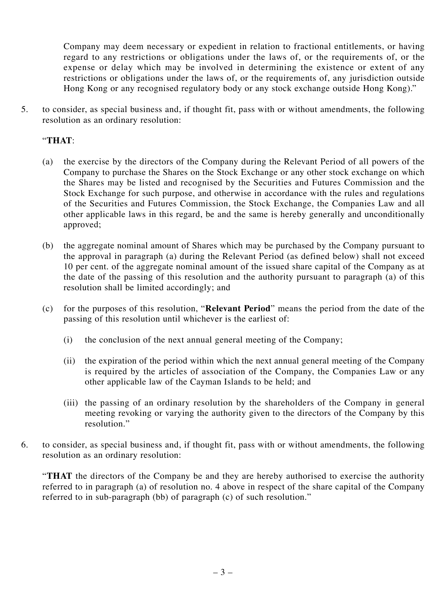Company may deem necessary or expedient in relation to fractional entitlements, or having regard to any restrictions or obligations under the laws of, or the requirements of, or the expense or delay which may be involved in determining the existence or extent of any restrictions or obligations under the laws of, or the requirements of, any jurisdiction outside Hong Kong or any recognised regulatory body or any stock exchange outside Hong Kong)."

5. to consider, as special business and, if thought fit, pass with or without amendments, the following resolution as an ordinary resolution:

### "**THAT**:

- (a) the exercise by the directors of the Company during the Relevant Period of all powers of the Company to purchase the Shares on the Stock Exchange or any other stock exchange on which the Shares may be listed and recognised by the Securities and Futures Commission and the Stock Exchange for such purpose, and otherwise in accordance with the rules and regulations of the Securities and Futures Commission, the Stock Exchange, the Companies Law and all other applicable laws in this regard, be and the same is hereby generally and unconditionally approved;
- (b) the aggregate nominal amount of Shares which may be purchased by the Company pursuant to the approval in paragraph (a) during the Relevant Period (as defined below) shall not exceed 10 per cent. of the aggregate nominal amount of the issued share capital of the Company as at the date of the passing of this resolution and the authority pursuant to paragraph (a) of this resolution shall be limited accordingly; and
- (c) for the purposes of this resolution, "**Relevant Period**" means the period from the date of the passing of this resolution until whichever is the earliest of:
	- (i) the conclusion of the next annual general meeting of the Company;
	- (ii) the expiration of the period within which the next annual general meeting of the Company is required by the articles of association of the Company, the Companies Law or any other applicable law of the Cayman Islands to be held; and
	- (iii) the passing of an ordinary resolution by the shareholders of the Company in general meeting revoking or varying the authority given to the directors of the Company by this resolution."
- 6. to consider, as special business and, if thought fit, pass with or without amendments, the following resolution as an ordinary resolution:

"**THAT** the directors of the Company be and they are hereby authorised to exercise the authority referred to in paragraph (a) of resolution no. 4 above in respect of the share capital of the Company referred to in sub-paragraph (bb) of paragraph (c) of such resolution."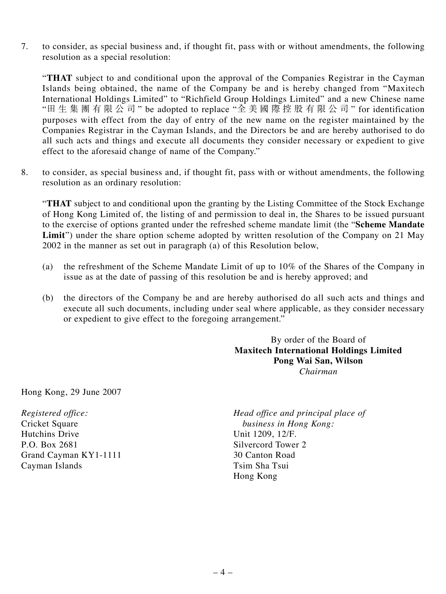7. to consider, as special business and, if thought fit, pass with or without amendments, the following resolution as a special resolution:

"**THAT** subject to and conditional upon the approval of the Companies Registrar in the Cayman Islands being obtained, the name of the Company be and is hereby changed from "Maxitech International Holdings Limited" to "Richfield Group Holdings Limited" and a new Chinese name "田生集團有限公司 " be adopted to replace "全美國際控股有限公司 " for identification purposes with effect from the day of entry of the new name on the register maintained by the Companies Registrar in the Cayman Islands, and the Directors be and are hereby authorised to do all such acts and things and execute all documents they consider necessary or expedient to give effect to the aforesaid change of name of the Company."

8. to consider, as special business and, if thought fit, pass with or without amendments, the following resolution as an ordinary resolution:

"**THAT** subject to and conditional upon the granting by the Listing Committee of the Stock Exchange of Hong Kong Limited of, the listing of and permission to deal in, the Shares to be issued pursuant to the exercise of options granted under the refreshed scheme mandate limit (the "**Scheme Mandate** Limit") under the share option scheme adopted by written resolution of the Company on 21 May 2002 in the manner as set out in paragraph (a) of this Resolution below,

- (a) the refreshment of the Scheme Mandate Limit of up to 10% of the Shares of the Company in issue as at the date of passing of this resolution be and is hereby approved; and
- (b) the directors of the Company be and are hereby authorised do all such acts and things and execute all such documents, including under seal where applicable, as they consider necessary or expedient to give effect to the foregoing arrangement."

By order of the Board of **Maxitech International Holdings Limited Pong Wai San, Wilson** *Chairman*

Hong Kong, 29 June 2007

Hutchins Drive Unit 1209, 12/F. P.O. Box 2681 Silvercord Tower 2<br>
Grand Cayman KY1-1111 30 Canton Road Grand Cayman KY1-1111 Cayman Islands Tsim Sha Tsui

*Registered office: Head office and principal place of*<br>Cricket Square *business in Hong Kong*: business in Hong Kong: Hong Kong